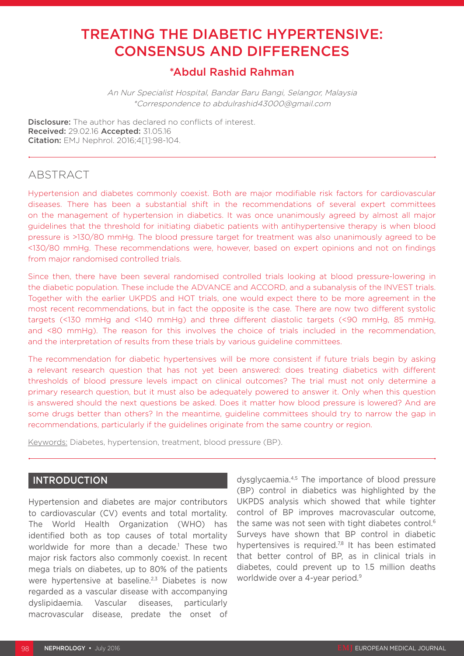# TREATING THE DIABETIC HYPERTENSIVE: CONSENSUS AND DIFFERENCES

# \*Abdul Rashid Rahman

An Nur Specialist Hospital, Bandar Baru Bangi, Selangor, Malaysia \*Correspondence to abdulrashid43000@gmail.com

Disclosure: The author has declared no conflicts of interest. Received: 29.02.16 Accepted: 31.05.16 Citation: EMJ Nephrol. 2016;4[1]:98-104.

## ABSTRACT

Hypertension and diabetes commonly coexist. Both are major modifiable risk factors for cardiovascular diseases. There has been a substantial shift in the recommendations of several expert committees on the management of hypertension in diabetics. It was once unanimously agreed by almost all major guidelines that the threshold for initiating diabetic patients with antihypertensive therapy is when blood pressure is >130/80 mmHg. The blood pressure target for treatment was also unanimously agreed to be <130/80 mmHg. These recommendations were, however, based on expert opinions and not on findings from major randomised controlled trials.

Since then, there have been several randomised controlled trials looking at blood pressure-lowering in the diabetic population. These include the ADVANCE and ACCORD, and a subanalysis of the INVEST trials. Together with the earlier UKPDS and HOT trials, one would expect there to be more agreement in the most recent recommendations, but in fact the opposite is the case. There are now two different systolic targets (<130 mmHg and <140 mmHg) and three different diastolic targets (<90 mmHg, 85 mmHg, and <80 mmHg). The reason for this involves the choice of trials included in the recommendation, and the interpretation of results from these trials by various guideline committees.

The recommendation for diabetic hypertensives will be more consistent if future trials begin by asking a relevant research question that has not yet been answered: does treating diabetics with different thresholds of blood pressure levels impact on clinical outcomes? The trial must not only determine a primary research question, but it must also be adequately powered to answer it. Only when this question is answered should the next questions be asked. Does it matter how blood pressure is lowered? And are some drugs better than others? In the meantime, guideline committees should try to narrow the gap in recommendations, particularly if the guidelines originate from the same country or region.

Keywords: Diabetes, hypertension, treatment, blood pressure (BP).

### INTRODUCTION

Hypertension and diabetes are major contributors to cardiovascular (CV) events and total mortality. The World Health Organization (WHO) has identified both as top causes of total mortality worldwide for more than a decade.1 These two major risk factors also commonly coexist. In recent mega trials on diabetes, up to 80% of the patients were hypertensive at baseline.<sup>2,3</sup> Diabetes is now regarded as a vascular disease with accompanying dyslipidaemia. Vascular diseases, particularly macrovascular disease, predate the onset of

dysglycaemia.4,5 The importance of blood pressure (BP) control in diabetics was highlighted by the UKPDS analysis which showed that while tighter control of BP improves macrovascular outcome, the same was not seen with tight diabetes control.<sup>6</sup> Surveys have shown that BP control in diabetic hypertensives is required.<sup>7,8</sup> It has been estimated that better control of BP, as in clinical trials in diabetes, could prevent up to 1.5 million deaths worldwide over a 4-year period.<sup>9</sup>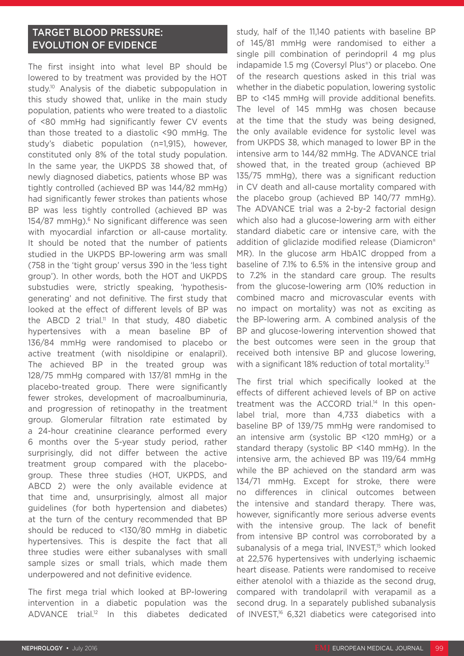## TARGET BLOOD PRESSURE: EVOLUTION OF EVIDENCE

The first insight into what level BP should be lowered to by treatment was provided by the HOT study.<sup>10</sup> Analysis of the diabetic subpopulation in this study showed that, unlike in the main study population, patients who were treated to a diastolic of <80 mmHg had significantly fewer CV events than those treated to a diastolic <90 mmHg. The study's diabetic population (n=1,915), however, constituted only 8% of the total study population. In the same year, the UKPDS 38 showed that, of newly diagnosed diabetics, patients whose BP was tightly controlled (achieved BP was 144/82 mmHg) had significantly fewer strokes than patients whose BP was less tightly controlled (achieved BP was 154/87 mmHg).<sup>6</sup> No significant difference was seen with myocardial infarction or all-cause mortality. It should be noted that the number of patients studied in the UKPDS BP-lowering arm was small (758 in the 'tight group' versus 390 in the 'less tight group'). In other words, both the HOT and UKPDS substudies were, strictly speaking, 'hypothesisgenerating' and not definitive. The first study that looked at the effect of different levels of BP was the ABCD 2 trial.<sup>11</sup> In that study, 480 diabetic hypertensives with a mean baseline BP of 136/84 mmHg were randomised to placebo or active treatment (with nisoldipine or enalapril). The achieved BP in the treated group was 128/75 mmHg compared with 137/81 mmHg in the placebo-treated group. There were significantly fewer strokes, development of macroalbuminuria, and progression of retinopathy in the treatment group. Glomerular filtration rate estimated by a 24-hour creatinine clearance performed every 6 months over the 5-year study period, rather surprisingly, did not differ between the active treatment group compared with the placebogroup. These three studies (HOT, UKPDS, and ABCD 2) were the only available evidence at that time and, unsurprisingly, almost all major guidelines (for both hypertension and diabetes) at the turn of the century recommended that BP should be reduced to <130/80 mmHg in diabetic hypertensives. This is despite the fact that all three studies were either subanalyses with small sample sizes or small trials, which made them underpowered and not definitive evidence.

The first mega trial which looked at BP-lowering intervention in a diabetic population was the ADVANCE trial.12 In this diabetes dedicated

study, half of the 11,140 patients with baseline BP of 145/81 mmHg were randomised to either a single pill combination of perindopril 4 mg plus indapamide 1.5 mg (Coversyl Plus®) or placebo. One of the research questions asked in this trial was whether in the diabetic population, lowering systolic BP to <145 mmHg will provide additional benefits. The level of 145 mmHg was chosen because at the time that the study was being designed, the only available evidence for systolic level was from UKPDS 38, which managed to lower BP in the intensive arm to 144/82 mmHg. The ADVANCE trial showed that, in the treated group (achieved BP 135/75 mmHg), there was a significant reduction in CV death and all-cause mortality compared with the placebo group (achieved BP 140/77 mmHg). The ADVANCE trial was a 2-by-2 factorial design which also had a glucose-lowering arm with either standard diabetic care or intensive care, with the addition of gliclazide modified release (Diamicron® MR). In the glucose arm HbA1C dropped from a baseline of 7.1% to 6.5% in the intensive group and to 7.2% in the standard care group. The results from the glucose-lowering arm (10% reduction in combined macro and microvascular events with no impact on mortality) was not as exciting as the BP-lowering arm. A combined analysis of the BP and glucose-lowering intervention showed that the best outcomes were seen in the group that received both intensive BP and glucose lowering, with a significant 18% reduction of total mortality.<sup>13</sup>

The first trial which specifically looked at the effects of different achieved levels of BP on active treatment was the ACCORD trial.<sup>14</sup> In this openlabel trial, more than 4,733 diabetics with a baseline BP of 139/75 mmHg were randomised to an intensive arm (systolic BP <120 mmHg) or a standard therapy (systolic BP <140 mmHg). In the intensive arm, the achieved BP was 119/64 mmHg while the BP achieved on the standard arm was 134/71 mmHg. Except for stroke, there were no differences in clinical outcomes between the intensive and standard therapy. There was, however, significantly more serious adverse events with the intensive group. The lack of benefit from intensive BP control was corroborated by a subanalysis of a mega trial, INVEST,<sup>15</sup> which looked at 22,576 hypertensives with underlying ischaemic heart disease. Patients were randomised to receive either atenolol with a thiazide as the second drug, compared with trandolapril with verapamil as a second drug. In a separately published subanalysis of INVEST,<sup>16</sup> 6,321 diabetics were categorised into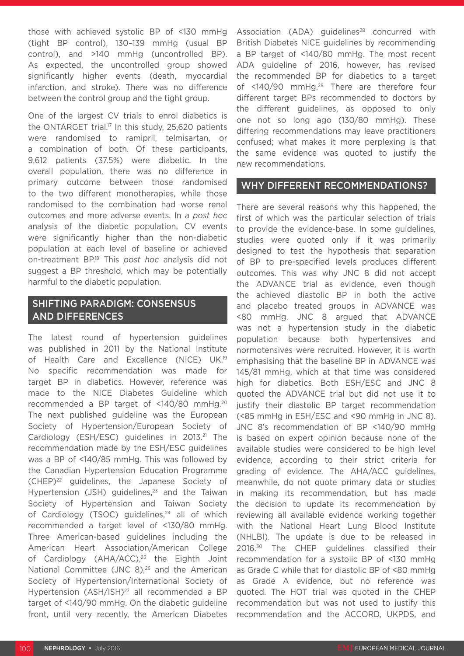those with achieved systolic BP of <130 mmHg (tight BP control), 130–139 mmHg (usual BP control), and >140 mmHg (uncontrolled BP). As expected, the uncontrolled group showed significantly higher events (death, myocardial infarction, and stroke). There was no difference between the control group and the tight group.

One of the largest CV trials to enrol diabetics is the ONTARGET trial.<sup>17</sup> In this study, 25,620 patients were randomised to ramipril, telmisartan, or a combination of both. Of these participants, 9,612 patients (37.5%) were diabetic. In the overall population, there was no difference in primary outcome between those randomised to the two different monotherapies, while those randomised to the combination had worse renal outcomes and more adverse events. In a *post hoc* analysis of the diabetic population, CV events were significantly higher than the non-diabetic population at each level of baseline or achieved on-treatment BP.18 This *post hoc* analysis did not suggest a BP threshold, which may be potentially harmful to the diabetic population.

### SHIFTING PARADIGM: CONSENSUS AND DIFFERENCES

The latest round of hypertension guidelines was published in 2011 by the National Institute of Health Care and Excellence (NICE) UK.19 No specific recommendation was made for target BP in diabetics. However, reference was made to the NICE Diabetes Guideline which recommended a BP target of <140/80 mmHg.20 The next published guideline was the European Society of Hypertension/European Society of Cardiology (ESH/ESC) guidelines in 2013.<sup>21</sup> The recommendation made by the ESH/ESC guidelines was a BP of <140/85 mmHg. This was followed by the Canadian Hypertension Education Programme (CHEP)22 guidelines, the Japanese Society of Hypertension (JSH) guidelines, $23$  and the Taiwan Society of Hypertension and Taiwan Society of Cardiology (TSOC) guidelines, $24$  all of which recommended a target level of <130/80 mmHg. Three American-based guidelines including the American Heart Association/American College of Cardiology (AHA/ACC),<sup>25</sup> the Eighth Joint National Committee (JNC 8),<sup>26</sup> and the American Society of Hypertension/International Society of Hypertension (ASH/ISH)<sup>27</sup> all recommended a BP target of <140/90 mmHg. On the diabetic guideline front, until very recently, the American Diabetes

Association (ADA) guidelines<sup>28</sup> concurred with British Diabetes NICE guidelines by recommending a BP target of <140/80 mmHg. The most recent ADA guideline of 2016, however, has revised the recommended BP for diabetics to a target of <140/90 mmHg.<sup>29</sup> There are therefore four different target BPs recommended to doctors by the different guidelines, as opposed to only one not so long ago (130/80 mmHg). These differing recommendations may leave practitioners confused; what makes it more perplexing is that the same evidence was quoted to justify the new recommendations.

#### WHY DIFFERENT RECOMMENDATIONS?

There are several reasons why this happened, the first of which was the particular selection of trials to provide the evidence-base. In some guidelines, studies were quoted only if it was primarily designed to test the hypothesis that separation of BP to pre-specified levels produces different outcomes. This was why JNC 8 did not accept the ADVANCE trial as evidence, even though the achieved diastolic BP in both the active and placebo treated groups in ADVANCE was <80 mmHg. JNC 8 argued that ADVANCE was not a hypertension study in the diabetic population because both hypertensives and normotensives were recruited. However, it is worth emphasising that the baseline BP in ADVANCE was 145/81 mmHg, which at that time was considered high for diabetics. Both ESH/ESC and JNC 8 quoted the ADVANCE trial but did not use it to justify their diastolic BP target recommendation (<85 mmHg in ESH/ESC and <90 mmHg in JNC 8). JNC 8's recommendation of BP <140/90 mmHg is based on expert opinion because none of the available studies were considered to be high level evidence, according to their strict criteria for grading of evidence. The AHA/ACC guidelines, meanwhile, do not quote primary data or studies in making its recommendation, but has made the decision to update its recommendation by reviewing all available evidence working together with the National Heart Lung Blood Institute (NHLBI). The update is due to be released in 2016.<sup>30</sup> The CHEP guidelines classified their recommendation for a systolic BP of <130 mmHg as Grade C while that for diastolic BP of <80 mmHg as Grade A evidence, but no reference was quoted. The HOT trial was quoted in the CHEP recommendation but was not used to justify this recommendation and the ACCORD, UKPDS, and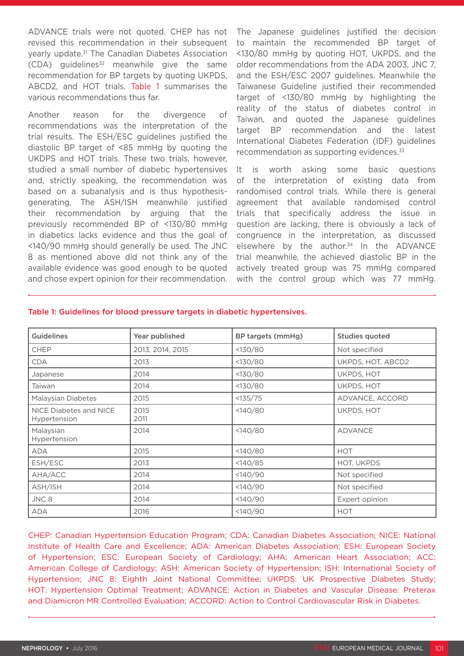ADVANCE trials were not quoted. CHEP has not revised this recommendation in their subsequent yearly update.31 The Canadian Diabetes Association  $(CDA)$  guidelines<sup>32</sup> meanwhile give the same recommendation for BP targets by quoting UKPDS, ABCD2, and HOT trials. Table 1 summarises the various recommendations thus far.

Another reason for the divergence of recommendations was the interpretation of the trial results. The ESH/ESC guidelines justified the diastolic BP target of <85 mmHg by quoting the UKDPS and HOT trials. These two trials, however, studied a small number of diabetic hypertensives and, strictly speaking, the recommendation was based on a subanalysis and is thus hypothesisgenerating. The ASH/ISH meanwhile justified their recommendation by arguing that the previously recommended BP of <130/80 mmHg in diabetics lacks evidence and thus the goal of <140/90 mmHg should generally be used. The JNC 8 as mentioned above did not think any of the available evidence was good enough to be quoted and chose expert opinion for their recommendation.

The Japanese guidelines justified the decision to maintain the recommended BP target of <130/80 mmHg by quoting HOT, UKPDS, and the older recommendations from the ADA 2003, JNC 7, and the ESH/ESC 2007 guidelines. Meanwhile the Taiwanese Guideline justified their recommended target of <130/80 mmHg by highlighting the reality of the status of diabetes control in Taiwan, and quoted the Japanese guidelines target BP recommendation and the latest International Diabetes Federation (IDF) guidelines recommendation as supporting evidences.<sup>33</sup>

It is worth asking some basic questions of the interpretation of existing data from randomised control trials. While there is general agreement that available randomised control trials that specifically address the issue in question are lacking, there is obviously a lack of congruence in the interpretation, as discussed elsewhere by the author. $34$  In the ADVANCE trial meanwhile, the achieved diastolic BP in the actively treated group was 75 mmHg compared with the control group which was 77 mmHg.

| <b>Guidelines</b>                      | Year published   | BP targets (mmHg) | <b>Studies quoted</b> |
|----------------------------------------|------------------|-------------------|-----------------------|
| <b>CHEP</b>                            | 2013, 2014, 2015 | <130/80           | Not specified         |
| <b>CDA</b>                             | 2013             | <130/80           | UKPDS, HOT, ABCD2     |
| Japanese                               | 2014             | <130/80           | UKPDS, HOT            |
| Taiwan                                 | 2014             | <130/80           | <b>UKPDS, HOT</b>     |
| Malaysian Diabetes                     | 2015             | <135/75           | ADVANCE, ACCORD       |
| NICE Diabetes and NICE<br>Hypertension | 2015<br>2011     | <140/80           | UKPDS, HOT            |
| Malaysian<br>Hypertension              | 2014             | <140/80           | <b>ADVANCE</b>        |
| <b>ADA</b>                             | 2015             | <140/80           | <b>HOT</b>            |
| ESH/ESC                                | 2013             | <140/85           | <b>HOT, UKPDS</b>     |
| AHA/ACC                                | 2014             | <140/90           | Not specified         |
| ASH/ISH                                | 2014             | <140/90           | Not specified         |
| JNC 8                                  | 2014             | <140/90           | Expert opinion        |
| <b>ADA</b>                             | 2016             | <140/90           | <b>HOT</b>            |

#### Table 1: Guidelines for blood pressure targets in diabetic hypertensives.

CHEP: Canadian Hypertension Education Program; CDA: Canadian Diabetes Association; NICE: National Institute of Health Care and Excellence; ADA: American Diabetes Association; ESH: European Society of Hypertension; ESC: European Society of Cardiology; AHA: American Heart Association; ACC: American College of Cardiology; ASH: American Society of Hypertension; ISH: International Society of Hypertension; JNC 8: Eighth Joint National Committee; UKPDS: UK Prospective Diabetes Study; HOT: Hypertension Optimal Treatment; ADVANCE: Action in Diabetes and Vascular Disease: Preterax and Diamicron MR Controlled Evaluation; ACCORD: Action to Control Cardiovascular Risk in Diabetes.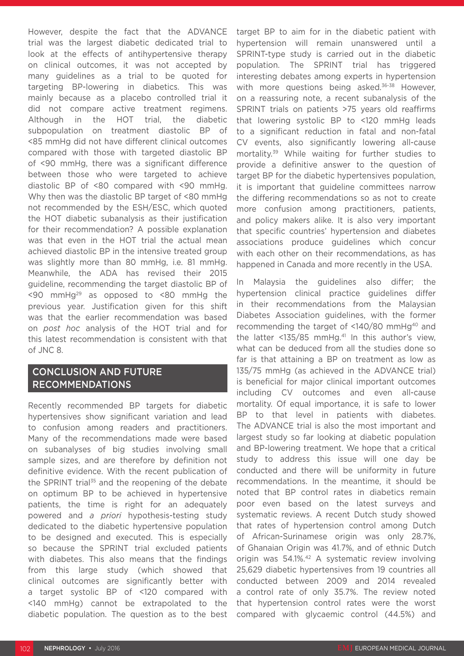However, despite the fact that the ADVANCE trial was the largest diabetic dedicated trial to look at the effects of antihypertensive therapy on clinical outcomes, it was not accepted by many guidelines as a trial to be quoted for targeting BP-lowering in diabetics. This was mainly because as a placebo controlled trial it did not compare active treatment regimens. Although in the HOT trial, the diabetic subpopulation on treatment diastolic BP of <85 mmHg did not have different clinical outcomes compared with those with targeted diastolic BP of <90 mmHg, there was a significant difference between those who were targeted to achieve diastolic BP of <80 compared with <90 mmHg. Why then was the diastolic BP target of <80 mmHg not recommended by the ESH/ESC, which quoted the HOT diabetic subanalysis as their justification for their recommendation? A possible explanation was that even in the HOT trial the actual mean achieved diastolic BP in the intensive treated group was slightly more than 80 mmHg, i.e. 81 mmHg. Meanwhile, the ADA has revised their 2015 guideline, recommending the target diastolic BP of  $\leq$ 90 mmHg<sup>29</sup> as opposed to  $\leq$ 80 mmHg the previous year. Justification given for this shift was that the earlier recommendation was based on *post hoc* analysis of the HOT trial and for this latest recommendation is consistent with that of JNC 8.

#### CONCLUSION AND FUTURE RECOMMENDATIONS

Recently recommended BP targets for diabetic hypertensives show significant variation and lead to confusion among readers and practitioners. Many of the recommendations made were based on subanalyses of big studies involving small sample sizes, and are therefore by definition not definitive evidence. With the recent publication of the SPRINT trial<sup>35</sup> and the reopening of the debate on optimum BP to be achieved in hypertensive patients, the time is right for an adequately powered and *a priori* hypothesis-testing study dedicated to the diabetic hypertensive population to be designed and executed. This is especially so because the SPRINT trial excluded patients with diabetes. This also means that the findings from this large study (which showed that clinical outcomes are significantly better with a target systolic BP of <120 compared with <140 mmHg) cannot be extrapolated to the diabetic population. The question as to the best

target BP to aim for in the diabetic patient with hypertension will remain unanswered until a SPRINT-type study is carried out in the diabetic population. The SPRINT trial has triggered interesting debates among experts in hypertension with more questions being asked.<sup>36-38</sup> However, on a reassuring note, a recent subanalysis of the SPRINT trials on patients >75 years old reaffirms that lowering systolic BP to <120 mmHg leads to a significant reduction in fatal and non-fatal CV events, also significantly lowering all-cause mortality.39 While waiting for further studies to provide a definitive answer to the question of target BP for the diabetic hypertensives population, it is important that guideline committees narrow the differing recommendations so as not to create more confusion among practitioners, patients, and policy makers alike. It is also very important that specific countries' hypertension and diabetes associations produce guidelines which concur with each other on their recommendations, as has happened in Canada and more recently in the USA.

In Malaysia the guidelines also differ; the hypertension clinical practice guidelines differ in their recommendations from the Malaysian Diabetes Association guidelines, with the former recommending the target of <140/80 mmHg<sup>40</sup> and the latter  $<$ 135/85 mmHg.<sup>41</sup> In this author's view, what can be deduced from all the studies done so far is that attaining a BP on treatment as low as 135/75 mmHg (as achieved in the ADVANCE trial) is beneficial for major clinical important outcomes including CV outcomes and even all-cause mortality. Of equal importance, it is safe to lower BP to that level in patients with diabetes. The ADVANCE trial is also the most important and largest study so far looking at diabetic population and BP-lowering treatment. We hope that a critical study to address this issue will one day be conducted and there will be uniformity in future recommendations. In the meantime, it should be noted that BP control rates in diabetics remain poor even based on the latest surveys and systematic reviews. A recent Dutch study showed that rates of hypertension control among Dutch of African-Surinamese origin was only 28.7%, of Ghanaian Origin was 41.7%, and of ethnic Dutch origin was 54.1%.<sup>42</sup> A systematic review involving 25,629 diabetic hypertensives from 19 countries all conducted between 2009 and 2014 revealed a control rate of only 35.7%. The review noted that hypertension control rates were the worst compared with glycaemic control (44.5%) and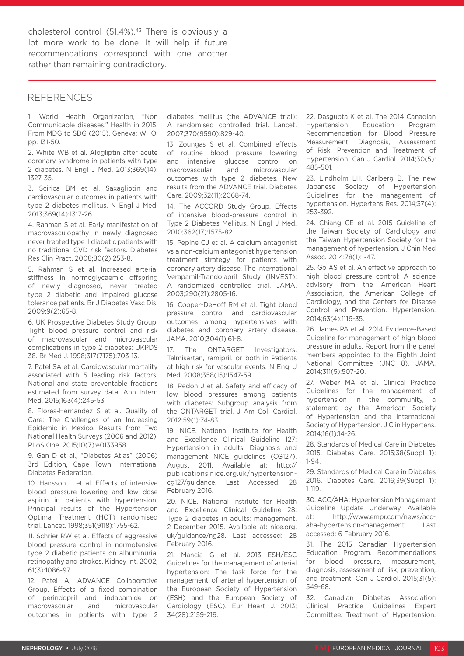cholesterol control (51.4%).<sup>43</sup> There is obviously a lot more work to be done. It will help if future recommendations correspond with one another rather than remaining contradictory.

#### REFERENCES

1. World Health Organization, "Non Communicable diseases," Health in 2015: From MDG to SDG (2015), Geneva: WHO, pp. 131-50.

2. White WB et al. Alogliptin after acute coronary syndrome in patients with type 2 diabetes. N Engl J Med. 2013;369(14): 1327-35.

3. Scirica BM et al. Saxagliptin and cardiovascular outcomes in patients with type 2 diabetes mellitus. N Engl J Med. 2013;369(14):1317-26.

4. Rahman S et al. Early manifestation of macrovasculopathy in newly diagnosed never treated type II diabetic patients with no traditional CVD risk factors. Diabetes Res Clin Pract. 2008;80(2):253-8.

5. Rahman S et al. Increased arterial stiffness in normoglycaemic offspring of newly diagnosed, never treated type 2 diabetic and impaired glucose tolerance patients. Br J Diabetes Vasc Dis. 2009;9(2):65-8.

6. UK Prospective Diabetes Study Group. Tight blood pressure control and risk of macrovascular and microvascular complications in type 2 diabetes: UKPDS 38. Br Med J. 1998;317(7175):703-13.

7. Patel SA et al. Cardiovascular mortality associated with 5 leading risk factors: National and state preventable fractions estimated from survey data. Ann Intern Med. 2015;163(4):245-53.

8. Flores-Hernandez S et al. Quality of Care: The Challenges of an Increasing Epidemic in Mexico. Results from Two National Health Surveys (2006 and 2012). PLoS One. 2015;10(7):e0133958.

9. Gan D et al., "Diabetes Atlas" (2006) 3rd Edition, Cape Town: International Diabetes Federation.

10. Hansson L et al. Effects of intensive blood pressure lowering and low dose aspirin in patients with hypertension: Principal results of the Hypertension Optimal Treatment (HOT) randomised trial. Lancet. 1998;351(9118):1755-62.

11. Schrier RW et al. Effects of aggressive blood pressure control in normotensive type 2 diabetic patients on albuminuria, retinopathy and strokes. Kidney Int. 2002; 61(3):1086-97.

12. Patel A; ADVANCE Collaborative Group. Effects of a fixed combination of perindopril and indapamide on macrovascular and microvascular outcomes in patients with type 2 diabetes mellitus (the ADVANCE trial): A randomised controlled trial. Lancet. 2007;370(9590):829-40.

13. Zoungas S et al. Combined effects of routine blood pressure lowering and intensive glucose control on macrovascular and microvascular outcomes with type 2 diabetes. New results from the ADVANCE trial. Diabetes Care. 2009;32(11):2068-74.

14. The ACCORD Study Group. Effects of intensive blood-pressure control in Type 2 Diabetes Mellitus. N Engl J Med. 2010;362(17):1575-82.

15. Pepine CJ et al. A calcium antagonist vs a non-calcium antagonist hypertension treatment strategy for patients with coronary artery disease. The International Verapamil-Trandolapril Study (INVEST): A randomized controlled trial. JAMA. 2003;290(21):2805-16.

16. Cooper-DeHoff RM et al. Tight blood pressure control and cardiovascular outcomes among hypertensives with diabetes and coronary artery disease. JAMA. 2010;304(1):61-8.

The ONTARGET Investigators. Telmisartan, ramipril, or both in Patients at high risk for vascular events. N Engl J Med. 2008;358(15):1547-59.

18. Redon J et al. Safety and efficacy of low blood pressures among patients with diabetes: Subgroup analysis from the ONTARGET trial. J Am Coll Cardiol. 2012;59(1):74-83.

19. NICE. National Institute for Health and Excellence Clinical Guideline 127: Hypertension in adults: Diagnosis and management NICE guidelines (CG127). August 2011. Available at: http:// publications.nice.org.uk/hypertensioncg127/guidance. Last Accessed: 28 February 2016.

20. NICE. National Institute for Health and Excellence Clinical Guideline 28: Type 2 diabetes in adults: management. 2 December 2015. Available at: nice.org. uk/guidance/ng28. Last accessed: 28 February 2016.

21. Mancia G et al. 2013 ESH/ESC Guidelines for the management of arterial hypertension: The task force for the management of arterial hypertension of the European Society of Hypertension (ESH) and the European Society of Cardiology (ESC). Eur Heart J. 2013; 34(28):2159-219.

22. Dasgupta K et al. The 2014 Canadian Hypertension Education Program Recommendation for Blood Pressure Measurement, Diagnosis, Assessment of Risk, Prevention and Treatment of Hypertension. Can J Cardiol. 2014;30(5): 485-501.

23. Lindholm LH, Carlberg B. The new Japanese Society of Hypertension Guidelines for the management of hypertension. Hypertens Res. 2014;37(4): 253-392.

24. Chiang CE et al. 2015 Guideline of the Taiwan Society of Cardiology and the Taiwan Hypertension Society for the management of hypertension. J Chin Med Assoc. 2014;78(1):1-47.

25. Go AS et al. An effective approach to high blood pressure control: A science advisory from the American Heart Association, the American College of Cardiology, and the Centers for Disease Control and Prevention. Hypertension. 2014;63(4):1116-35.

26. James PA et al. 2014 Evidence-Based Guideline for management of high blood pressure in adults. Report from the panel members appointed to the Eighth Joint National Committee (JNC 8). JAMA. 2014;311(5):507-20.

27. Weber MA et al. Clinical Practice Guidelines for the management of hypertension in the community, a statement by the American Society of Hypertension and the International Society of Hypertension. J Clin Hypertens. 2014;16(1):14-26.

28. Standards of Medical Care in Diabetes 2015. Diabetes Care. 2015;38(Suppl 1): 1-94.

29. Standards of Medical Care in Diabetes 2016. Diabetes Care. 2016;39(Suppl 1): 1-119.

30. ACC/AHA: Hypertension Management Guideline Update Underway. Available at: http://www.empr.com/news/accaha-hypertension-management. Last accessed: 6 February 2016.

31. The 2015 Canadian Hypertension Education Program. Recommendations for blood pressure, measurement, diagnosis, assessment of risk, prevention, and treatment. Can J Cardiol. 2015;31(5): 549-68.

32. Canadian Diabetes Association Clinical Practice Guidelines Expert Committee. Treatment of Hypertension.